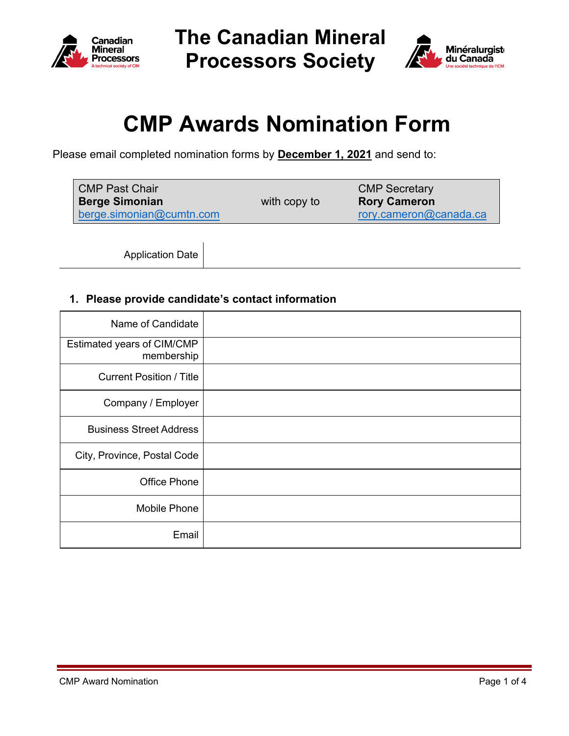

**The Canadian Mineral Processors Society** 



# **CMP Awards Nomination Form**

Please email completed nomination forms by **December 1, 2021** and send to:

| <b>CMP Past Chair</b>    |              | <b>CMP Secretary</b>   |
|--------------------------|--------------|------------------------|
| <b>Berge Simonian</b>    | with copy to | <b>Rory Cameron</b>    |
| berge.simonian@cumtn.com |              | rory.cameron@canada.ca |

Application Date

## **1. Please provide candidate's contact information**

| Name of Candidate                        |  |
|------------------------------------------|--|
| Estimated years of CIM/CMP<br>membership |  |
| <b>Current Position / Title</b>          |  |
| Company / Employer                       |  |
| <b>Business Street Address</b>           |  |
| City, Province, Postal Code              |  |
| Office Phone                             |  |
| Mobile Phone                             |  |
| Email                                    |  |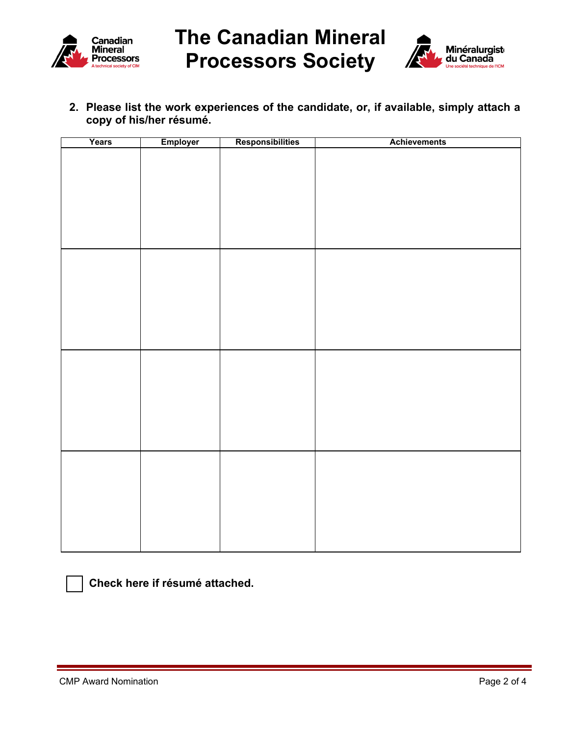

**The Canadian Mineral Processors Society** 



**2. Please list the work experiences of the candidate, or, if available, simply attach a copy of his/her résumé.**

| Years | Employer | Responsibilities | <b>Achievements</b> |
|-------|----------|------------------|---------------------|
|       |          |                  |                     |
|       |          |                  |                     |
|       |          |                  |                     |
|       |          |                  |                     |
|       |          |                  |                     |
|       |          |                  |                     |
|       |          |                  |                     |
|       |          |                  |                     |
|       |          |                  |                     |
|       |          |                  |                     |
|       |          |                  |                     |
|       |          |                  |                     |
|       |          |                  |                     |
|       |          |                  |                     |
|       |          |                  |                     |
|       |          |                  |                     |
|       |          |                  |                     |
|       |          |                  |                     |
|       |          |                  |                     |
|       |          |                  |                     |
|       |          |                  |                     |
|       |          |                  |                     |
|       |          |                  |                     |
|       |          |                  |                     |
|       |          |                  |                     |
|       |          |                  |                     |
|       |          |                  |                     |



**Check here if résumé attached.**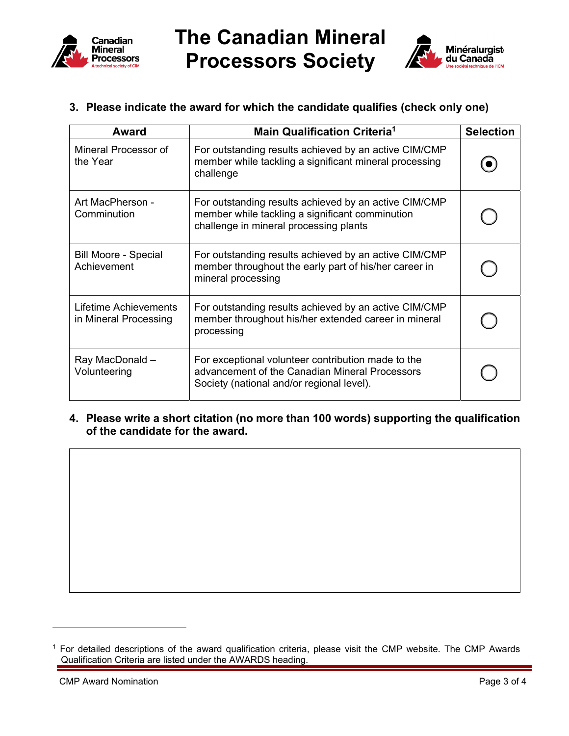

**The Canadian Mineral Processors Society** 



## **3. Please indicate the award for which the candidate qualifies (check only one)**

| Award                                          | <b>Main Qualification Criteria<sup>1</sup></b>                                                                                                     | <b>Selection</b> |
|------------------------------------------------|----------------------------------------------------------------------------------------------------------------------------------------------------|------------------|
| Mineral Processor of<br>the Year               | For outstanding results achieved by an active CIM/CMP<br>member while tackling a significant mineral processing<br>challenge                       |                  |
| Art MacPherson -<br>Comminution                | For outstanding results achieved by an active CIM/CMP<br>member while tackling a significant comminution<br>challenge in mineral processing plants |                  |
| <b>Bill Moore - Special</b><br>Achievement     | For outstanding results achieved by an active CIM/CMP<br>member throughout the early part of his/her career in<br>mineral processing               |                  |
| Lifetime Achievements<br>in Mineral Processing | For outstanding results achieved by an active CIM/CMP<br>member throughout his/her extended career in mineral<br>processing                        |                  |
| Ray MacDonald -<br>Volunteering                | For exceptional volunteer contribution made to the<br>advancement of the Canadian Mineral Processors<br>Society (national and/or regional level).  |                  |

#### **4. Please write a short citation (no more than 100 words) supporting the qualification of the candidate for the award.**

<sup>&</sup>lt;sup>1</sup> For detailed descriptions of the award qualification criteria, please visit the CMP website. The CMP Awards Qualification Criteria are listed under the AWARDS heading.